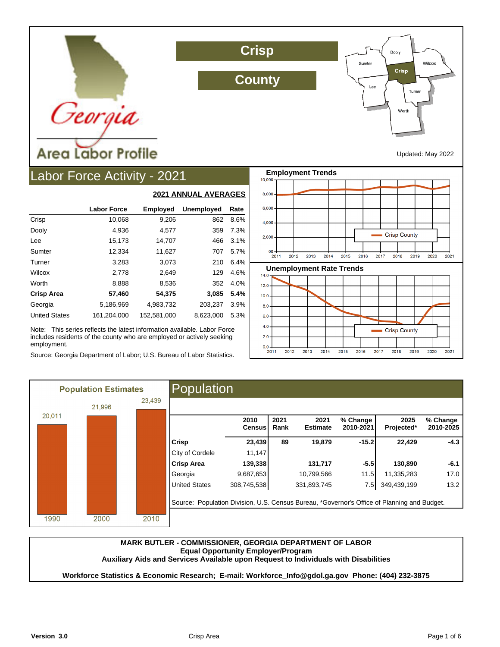

**Crisp**

**County**



Updated: May 2022

# Labor Force Activity - 2021

|                      |                    |                 | <b>2021 ANNUAL AVERAGES</b> |      |
|----------------------|--------------------|-----------------|-----------------------------|------|
|                      | <b>Labor Force</b> | <b>Employed</b> | <b>Unemployed</b>           | Rate |
| Crisp                | 10,068             | 9,206           | 862                         | 8.6% |
| Dooly                | 4,936              | 4,577           | 359                         | 7.3% |
| Lee                  | 15,173             | 14,707          | 466                         | 3.1% |
| Sumter               | 12,334             | 11,627          | 707                         | 5.7% |
| Turner               | 3,283              | 3,073           | 210                         | 6.4% |
| Wilcox               | 2,778              | 2.649           | 129                         | 4.6% |
| Worth                | 8,888              | 8,536           | 352                         | 4.0% |
| <b>Crisp Area</b>    | 57,460             | 54,375          | 3,085                       | 5.4% |
| Georgia              | 5,186,969          | 4,983,732       | 203,237                     | 3.9% |
| <b>United States</b> | 161,204,000        | 152,581,000     | 8,623,000                   | 5.3% |

Note: This series reflects the latest information available. Labor Force includes residents of the county who are employed or actively seeking employment.

Source: Georgia Department of Labor; U.S. Bureau of Labor Statistics.



|        | <b>Population Estimates</b> |        | Population                                                                                  |                       |              |                         |                       |                    |                       |
|--------|-----------------------------|--------|---------------------------------------------------------------------------------------------|-----------------------|--------------|-------------------------|-----------------------|--------------------|-----------------------|
|        | 21,996                      | 23,439 |                                                                                             |                       |              |                         |                       |                    |                       |
| 20,011 |                             |        |                                                                                             | 2010<br><b>Census</b> | 2021<br>Rank | 2021<br><b>Estimate</b> | % Change<br>2010-2021 | 2025<br>Projected* | % Change<br>2010-2025 |
|        |                             |        | <b>Crisp</b>                                                                                | 23,439                | 89           | 19,879                  | $-15.2$               | 22,429             | $-4.3$                |
|        |                             |        | City of Cordele                                                                             | 11,147                |              |                         |                       |                    |                       |
|        |                             |        | <b>Crisp Area</b>                                                                           | 139,338               |              | 131,717                 | $-5.5$                | 130,890            | $-6.1$                |
|        |                             |        | Georgia                                                                                     | 9,687,653             |              | 10,799,566              | 11.5                  | 11,335,283         | 17.0                  |
|        |                             |        | <b>United States</b>                                                                        | 308,745,538           |              | 331,893,745             | 7.5                   | 349,439,199        | 13.2                  |
|        |                             |        | Source: Population Division, U.S. Census Bureau, *Governor's Office of Planning and Budget. |                       |              |                         |                       |                    |                       |
| 1990   | 2000                        | 2010   |                                                                                             |                       |              |                         |                       |                    |                       |

### **MARK BUTLER - COMMISSIONER, GEORGIA DEPARTMENT OF LABOR Equal Opportunity Employer/Program Auxiliary Aids and Services Available upon Request to Individuals with Disabilities**

**Workforce Statistics & Economic Research; E-mail: Workforce\_Info@gdol.ga.gov Phone: (404) 232-3875**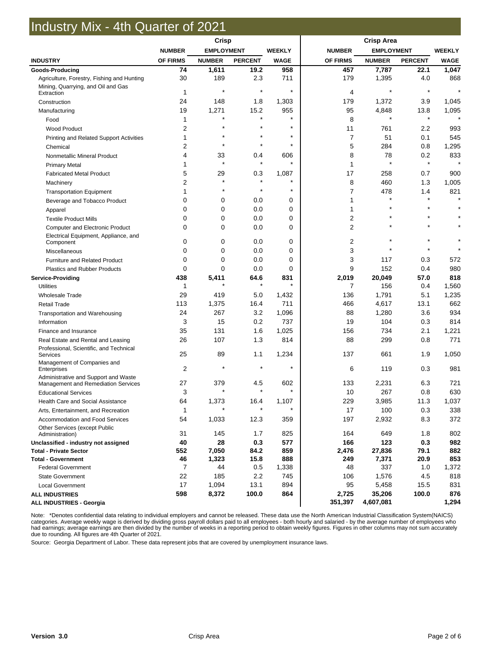## Industry Mix - 4th Quarter of 2021

|                                                                             | <b>Crisp</b>   |                   |                |               |                  |                     |                |               |
|-----------------------------------------------------------------------------|----------------|-------------------|----------------|---------------|------------------|---------------------|----------------|---------------|
|                                                                             | <b>NUMBER</b>  | <b>EMPLOYMENT</b> |                | <b>WEEKLY</b> | <b>NUMBER</b>    | <b>EMPLOYMENT</b>   |                | <b>WEEKLY</b> |
| <b>INDUSTRY</b>                                                             | OF FIRMS       | <b>NUMBER</b>     | <b>PERCENT</b> | <b>WAGE</b>   | OF FIRMS         | <b>NUMBER</b>       | <b>PERCENT</b> | <b>WAGE</b>   |
| <b>Goods-Producing</b>                                                      | 74             | 1,611             | 19.2           | 958           | 457              | 7,787               | 22.1           | 1,047         |
| Agriculture, Forestry, Fishing and Hunting                                  | 30             | 189               | 2.3            | 711           | 179              | 1,395               | 4.0            | 868           |
| Mining, Quarrying, and Oil and Gas<br>Extraction                            | 1              | $\star$           | $\star$        | $\star$       | 4                | $\star$             | $\star$        | $\star$       |
| Construction                                                                | 24             | 148               | 1.8            | 1,303         | 179              | 1,372               | 3.9            | 1,045         |
| Manufacturing                                                               | 19             | 1,271             | 15.2           | 955           | 95               | 4,848               | 13.8           | 1,095         |
| Food                                                                        | 1              |                   | $\star$        | $\star$       | 8                | $\star$             | $\star$        |               |
| <b>Wood Product</b>                                                         | 2              |                   | $\star$        | $\star$       | 11               | 761                 | 2.2            | 993           |
| Printing and Related Support Activities                                     | 1              |                   |                | $\star$       | $\overline{7}$   | 51                  | 0.1            | 545           |
| Chemical                                                                    | 2              | $\star$           | $\star$        | $\star$       | 5                | 284                 | 0.8            | 1,295         |
| Nonmetallic Mineral Product                                                 | 4              | 33                | 0.4            | 606           | 8                | 78                  | 0.2            | 833           |
| <b>Primary Metal</b>                                                        |                | $\star$           | $\star$        | $\star$       | 1                | $\star$             | $\star$        |               |
| <b>Fabricated Metal Product</b>                                             | 5              | 29                | 0.3            | 1,087         | 17               | 258                 | 0.7            | 900           |
| Machinery                                                                   | 2              | $\star$           | $\star$        | $\star$       | 8                | 460                 | 1.3            | 1,005         |
| <b>Transportation Equipment</b>                                             | 1              |                   | $\star$        | $\star$       | 7                | 478                 | 1.4            | 821           |
| Beverage and Tobacco Product                                                | 0              | 0                 | 0.0            | 0             | 1                | $\star$             | $\star$        | $\star$       |
| Apparel                                                                     | 0              | 0                 | 0.0            | 0             | 1                |                     |                |               |
| <b>Textile Product Mills</b>                                                | 0              | 0                 | 0.0            | 0             | 2                |                     |                |               |
| <b>Computer and Electronic Product</b>                                      | $\Omega$       | 0                 | 0.0            | 0             | $\overline{2}$   |                     |                |               |
| Electrical Equipment, Appliance, and<br>Component                           | 0              | 0                 | 0.0            | 0             | 2                |                     |                |               |
| Miscellaneous                                                               | 0              | $\mathbf 0$       | 0.0            | 0             | 3                |                     |                |               |
| <b>Furniture and Related Product</b>                                        | 0              | 0                 | 0.0            | 0             | 3                | 117                 | 0.3            | 572           |
| <b>Plastics and Rubber Products</b>                                         | 0              | $\Omega$          | 0.0            | 0             | 9                | 152                 | 0.4            | 980           |
| <b>Service-Providing</b>                                                    | 438            | 5,411             | 64.6           | 831           | 2,019            | 20,049              | 57.0           | 818           |
| <b>Utilities</b>                                                            | 1              |                   | $\star$        | $\star$       | 7                | 156                 | 0.4            | 1,560         |
| <b>Wholesale Trade</b>                                                      | 29             | 419               | 5.0            | 1,432         | 136              | 1,791               | 5.1            | 1,235         |
| <b>Retail Trade</b>                                                         | 113            | 1,375             | 16.4           | 711           | 466              | 4,617               | 13.1           | 662           |
| Transportation and Warehousing                                              | 24             | 267               | 3.2            | 1,096         | 88               | 1,280               | 3.6            | 934           |
| Information                                                                 | 3              | 15                | 0.2            | 737           | 19               | 104                 | 0.3            | 814           |
| Finance and Insurance                                                       | 35             | 131               | 1.6            | 1,025         | 156              | 734                 | 2.1            | 1,221         |
| Real Estate and Rental and Leasing                                          | 26             | 107               | 1.3            | 814           | 88               | 299                 | 0.8            | 771           |
| Professional, Scientific, and Technical<br>Services                         | 25             | 89                | 1.1            | 1,234         | 137              | 661                 | 1.9            | 1,050         |
| Management of Companies and<br>Enterprises                                  | $\overline{2}$ |                   |                | $\star$       | 6                | 119                 | 0.3            | 981           |
| Administrative and Support and Waste<br>Management and Remediation Services | 27             | 379               | 4.5            | 602           | 133              | 2,231               | 6.3            | 721           |
| <b>Educational Services</b>                                                 | 3              |                   |                | $\star$       | 10               | 267                 | 0.8            | 630           |
| Health Care and Social Assistance                                           | 64             | 1,373             | 16.4           | 1,107         | 229              | 3,985               | 11.3           | 1,037         |
| Arts, Entertainment, and Recreation                                         | $\mathbf{1}$   |                   | $\star$        | $\star$       | 17               | 100                 | 0.3            | 338           |
| Accommodation and Food Services                                             | 54             | 1,033             | 12.3           | 359           | 197              | 2,932               | 8.3            | 372           |
| Other Services (except Public<br>Administration)                            | 31             | 145               | 1.7            | 825           | 164              | 649                 | 1.8            | 802           |
| Unclassified - industry not assigned                                        | 40             | 28                | 0.3            | 577           | 166              | 123                 | 0.3            | 982           |
| <b>Total - Private Sector</b>                                               | 552            | 7,050             | 84.2           | 859           | 2,476            | 27,836              | 79.1           | 882           |
| <b>Total - Government</b>                                                   | 46             | 1,323             | 15.8           | 888           | 249              | 7,371               | 20.9           | 853           |
| <b>Federal Government</b>                                                   | 7              | 44                | 0.5            | 1,338         | 48               | 337                 | 1.0            | 1,372         |
| <b>State Government</b>                                                     | 22             | 185               | 2.2            | 745           | 106              | 1,576               | 4.5            | 818           |
| <b>Local Government</b>                                                     | 17             | 1,094             | 13.1           | 894           | 95               | 5,458               | 15.5           | 831           |
| <b>ALL INDUSTRIES</b><br>ALL INDUSTRIES - Georgia                           | 598            | 8,372             | 100.0          | 864           | 2,725<br>351,397 | 35,206<br>4,607,081 | 100.0          | 876<br>1,294  |

Note: \*Denotes confidential data relating to individual employers and cannot be released. These data use the North American Industrial Classification System(NAICS) categories. Average weekly wage is derived by dividing gross payroll dollars paid to all employees - both hourly and salaried - by the average number of employees who had earnings; average earnings are then divided by the number of weeks in a reporting period to obtain weekly figures. Figures in other columns may not sum accurately due to rounding. All figures are 4th Quarter of 2021.

Source: Georgia Department of Labor. These data represent jobs that are covered by unemployment insurance laws.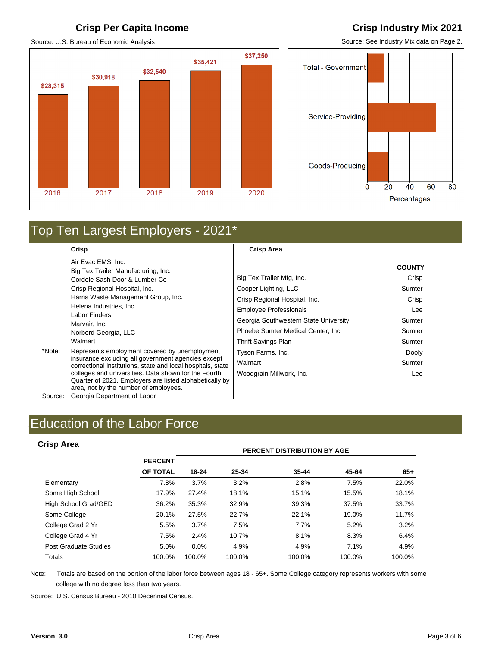### **Crisp Per Capita Income Crisp Industry Mix 2021**

Source: U.S. Bureau of Economic Analysis

## \$37,250 \$35,421 \$32,540 \$30,918 \$28,315 2016 2017 2019 2020 2018

**COUNTY**

Source: See Industry Mix data on Page 2.



## Top Ten Largest Employers - 2021\*

**Crisp** 

Air Evac EMS, Inc. Big Tex Trailer Manufacturing, Inc. Cordele Sash Door & Lumber Co Crisp Regional Hospital, Inc. Harris Waste Management Group, Inc. Helena Industries, Inc. Labor Finders Marvair, Inc. Norbord Georgia, LLC Walmart

\*Note: Represents employment covered by unemployment insurance excluding all government agencies except correctional institutions, state and local hospitals, state colleges and universities. Data shown for the Fourth Quarter of 2021. Employers are listed alphabetically by area, not by the number of employees.

Source: Georgia Department of Labor

### **Crisp Area**

|                                       | <b>COUNTY</b> |
|---------------------------------------|---------------|
| Big Tex Trailer Mfg, Inc.             | Crisp         |
| Cooper Lighting, LLC                  | Sumter        |
| Crisp Regional Hospital, Inc.         | Crisp         |
| <b>Employee Professionals</b>         | Lee           |
| Georgia Southwestern State University | Sumter        |
| Phoebe Sumter Medical Center, Inc.    | Sumter        |
| Thrift Savings Plan                   | Sumter        |
| Tyson Farms, Inc.                     | Dooly         |
| Walmart                               | Sumter        |
| Woodgrain Millwork, Inc.              | Lee           |

### **Crisp Area**

| <b>Crisp Area</b>     |                |        |        | PERCENT DISTRIBUTION BY AGE |        |        |
|-----------------------|----------------|--------|--------|-----------------------------|--------|--------|
|                       | <b>PERCENT</b> |        |        |                             |        |        |
|                       | OF TOTAL       | 18-24  | 25-34  | $35 - 44$                   | 45-64  | $65+$  |
| Elementary            | 7.8%           | 3.7%   | 3.2%   | 2.8%                        | 7.5%   | 22.0%  |
| Some High School      | 17.9%          | 27.4%  | 18.1%  | 15.1%                       | 15.5%  | 18.1%  |
| High School Grad/GED  | 36.2%          | 35.3%  | 32.9%  | 39.3%                       | 37.5%  | 33.7%  |
| Some College          | 20.1%          | 27.5%  | 22.7%  | 22.1%                       | 19.0%  | 11.7%  |
| College Grad 2 Yr     | 5.5%           | 3.7%   | 7.5%   | 7.7%                        | 5.2%   | 3.2%   |
| College Grad 4 Yr     | 7.5%           | 2.4%   | 10.7%  | 8.1%                        | 8.3%   | 6.4%   |
| Post Graduate Studies | 5.0%           | 0.0%   | 4.9%   | 4.9%                        | 7.1%   | 4.9%   |
| Totals                | 100.0%         | 100.0% | 100.0% | 100.0%                      | 100.0% | 100.0% |

Note: Totals are based on the portion of the labor force between ages 18 - 65+. Some College category represents workers with some college with no degree less than two years.

Source: U.S. Census Bureau - 2010 Decennial Census.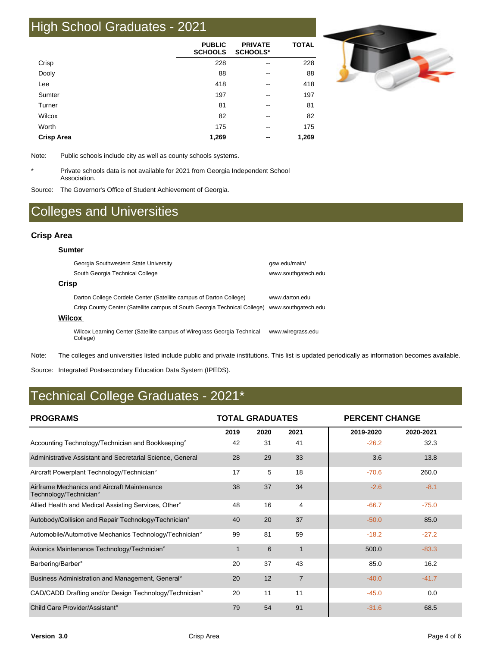# High School Graduates - 2021

|                   | <b>PUBLIC</b><br><b>SCHOOLS</b> | <b>PRIVATE</b><br><b>SCHOOLS*</b> | <b>TOTAL</b> |
|-------------------|---------------------------------|-----------------------------------|--------------|
| Crisp             | 228                             | --                                | 228          |
| Dooly             | 88                              | --                                | 88           |
| Lee               | 418                             | --                                | 418          |
| Sumter            | 197                             | $\overline{\phantom{m}}$          | 197          |
| Turner            | 81                              | --                                | 81           |
| Wilcox            | 82                              | --                                | 82           |
| Worth             | 175                             | --                                | 175          |
| <b>Crisp Area</b> | 1,269                           | --                                | 1,269        |



Note: Public schools include city as well as county schools systems.

\* Private schools data is not available for 2021 from Georgia Independent School Association.

Source: The Governor's Office of Student Achievement of Georgia.

## Colleges and Universities

### **Crisp Area**

| Sumter                                                                              |                     |
|-------------------------------------------------------------------------------------|---------------------|
| Georgia Southwestern State University                                               | gsw.edu/main/       |
| South Georgia Technical College                                                     | www.southgatech.edu |
| Crisp                                                                               |                     |
| Darton College Cordele Center (Satellite campus of Darton College)                  | www.darton.edu      |
| Crisp County Center (Satellite campus of South Georgia Technical College)           | www.southgatech.edu |
| Wilcox                                                                              |                     |
| Wilcox Learning Center (Satellite campus of Wiregrass Georgia Technical<br>College) | www.wiregrass.edu   |

Note: The colleges and universities listed include public and private institutions. This list is updated periodically as information becomes available.

Source: Integrated Postsecondary Education Data System (IPEDS).

## Technical College Graduates - 2021\*

| <b>PROGRAMS</b>                                                       | <b>TOTAL GRADUATES</b> |      |                | <b>PERCENT CHANGE</b> |           |
|-----------------------------------------------------------------------|------------------------|------|----------------|-----------------------|-----------|
|                                                                       | 2019                   | 2020 | 2021           | 2019-2020             | 2020-2021 |
| Accounting Technology/Technician and Bookkeeping°                     | 42                     | 31   | 41             | $-26.2$               | 32.3      |
| Administrative Assistant and Secretarial Science, General             | 28                     | 29   | 33             | 3.6                   | 13.8      |
| Aircraft Powerplant Technology/Technician°                            | 17                     | 5    | 18             | $-70.6$               | 260.0     |
| Airframe Mechanics and Aircraft Maintenance<br>Technology/Technician° | 38                     | 37   | 34             | $-2.6$                | $-8.1$    |
| Allied Health and Medical Assisting Services, Other <sup>®</sup>      | 48                     | 16   | 4              | $-66.7$               | $-75.0$   |
| Autobody/Collision and Repair Technology/Technician°                  | 40                     | 20   | 37             | $-50.0$               | 85.0      |
| Automobile/Automotive Mechanics Technology/Technician°                | 99                     | 81   | 59             | $-18.2$               | $-27.2$   |
| Avionics Maintenance Technology/Technician°                           | 1                      | 6    | 1              | 500.0                 | $-83.3$   |
| Barbering/Barber°                                                     | 20                     | 37   | 43             | 85.0                  | 16.2      |
| Business Administration and Management, General <sup>®</sup>          | 20                     | 12   | $\overline{7}$ | $-40.0$               | $-41.7$   |
| CAD/CADD Drafting and/or Design Technology/Technician°                | 20                     | 11   | 11             | $-45.0$               | 0.0       |
| Child Care Provider/Assistant <sup>o</sup>                            | 79                     | 54   | 91             | $-31.6$               | 68.5      |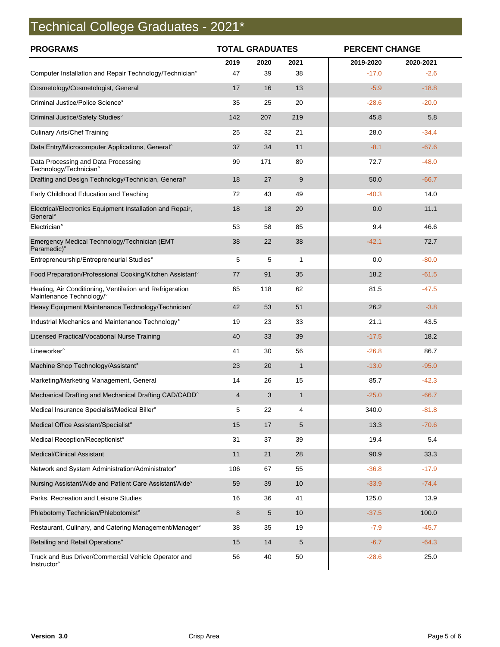# Technical College Graduates - 2021\*

| <b>PROGRAMS</b>                                                                      | <b>TOTAL GRADUATES</b> |            |              | <b>PERCENT CHANGE</b> |                     |  |
|--------------------------------------------------------------------------------------|------------------------|------------|--------------|-----------------------|---------------------|--|
| Computer Installation and Repair Technology/Technician°                              | 2019<br>47             | 2020<br>39 | 2021<br>38   | 2019-2020<br>$-17.0$  | 2020-2021<br>$-2.6$ |  |
| Cosmetology/Cosmetologist, General                                                   | 17                     | 16         | 13           | $-5.9$                | $-18.8$             |  |
| Criminal Justice/Police Science°                                                     | 35                     | 25         | 20           | $-28.6$               | $-20.0$             |  |
| Criminal Justice/Safety Studies°                                                     | 142                    | 207        | 219          | 45.8                  | 5.8                 |  |
| <b>Culinary Arts/Chef Training</b>                                                   | 25                     | 32         | 21           | 28.0                  | $-34.4$             |  |
| Data Entry/Microcomputer Applications, General°                                      | 37                     | 34         | 11           | $-8.1$                | $-67.6$             |  |
| Data Processing and Data Processing<br>Technology/Technician°                        | 99                     | 171        | 89           | 72.7                  | $-48.0$             |  |
| Drafting and Design Technology/Technician, General <sup>®</sup>                      | 18                     | 27         | 9            | 50.0                  | $-66.7$             |  |
| Early Childhood Education and Teaching                                               | 72                     | 43         | 49           | $-40.3$               | 14.0                |  |
| Electrical/Electronics Equipment Installation and Repair,<br>General <sup>o</sup>    | 18                     | 18         | 20           | 0.0                   | 11.1                |  |
| Electrician°                                                                         | 53                     | 58         | 85           | 9.4                   | 46.6                |  |
| Emergency Medical Technology/Technician (EMT<br>Paramedic)°                          | 38                     | 22         | 38           | $-42.1$               | 72.7                |  |
| Entrepreneurship/Entrepreneurial Studies°                                            | 5                      | 5          | 1            | 0.0                   | $-80.0$             |  |
| Food Preparation/Professional Cooking/Kitchen Assistant°                             | 77                     | 91         | 35           | 18.2                  | $-61.5$             |  |
| Heating, Air Conditioning, Ventilation and Refrigeration<br>Maintenance Technology/° | 65                     | 118        | 62           | 81.5                  | $-47.5$             |  |
| Heavy Equipment Maintenance Technology/Technician°                                   | 42                     | 53         | 51           | 26.2                  | $-3.8$              |  |
| Industrial Mechanics and Maintenance Technology°                                     | 19                     | 23         | 33           | 21.1                  | 43.5                |  |
| Licensed Practical/Vocational Nurse Training                                         | 40                     | 33         | 39           | $-17.5$               | 18.2                |  |
| Lineworker°                                                                          | 41                     | 30         | 56           | $-26.8$               | 86.7                |  |
| Machine Shop Technology/Assistant°                                                   | 23                     | 20         | $\mathbf{1}$ | $-13.0$               | $-95.0$             |  |
| Marketing/Marketing Management, General                                              | 14                     | 26         | 15           | 85.7                  | $-42.3$             |  |
| Mechanical Drafting and Mechanical Drafting CAD/CADD°                                | 4                      | 3          | $\mathbf{1}$ | $-25.0$               | $-66.7$             |  |
| Medical Insurance Specialist/Medical Biller°                                         | 5                      | 22         | 4            | 340.0                 | $-81.8$             |  |
| Medical Office Assistant/Specialist°                                                 | 15                     | 17         | 5            | 13.3                  | $-70.6$             |  |
| Medical Reception/Receptionist°                                                      | 31                     | 37         | 39           | 19.4                  | 5.4                 |  |
| <b>Medical/Clinical Assistant</b>                                                    | 11                     | 21         | 28           | 90.9                  | 33.3                |  |
| Network and System Administration/Administrator°                                     | 106                    | 67         | 55           | $-36.8$               | $-17.9$             |  |
| Nursing Assistant/Aide and Patient Care Assistant/Aide°                              | 59                     | 39         | 10           | $-33.9$               | $-74.4$             |  |
| Parks, Recreation and Leisure Studies                                                | 16                     | 36         | 41           | 125.0                 | 13.9                |  |
| Phlebotomy Technician/Phlebotomist°                                                  | 8                      | 5          | 10           | $-37.5$               | 100.0               |  |
| Restaurant, Culinary, and Catering Management/Manager°                               | 38                     | 35         | 19           | $-7.9$                | $-45.7$             |  |
| Retailing and Retail Operations°                                                     | 15                     | 14         | 5            | $-6.7$                | $-64.3$             |  |
| Truck and Bus Driver/Commercial Vehicle Operator and<br><b>Instructor</b> °          | 56                     | 40         | 50           | $-28.6$               | 25.0                |  |